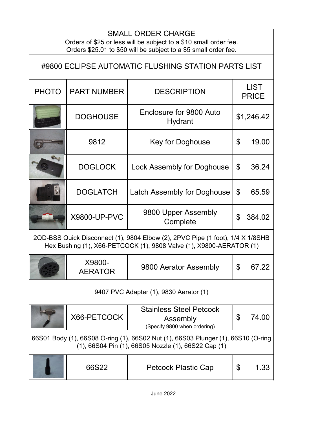## PHOTO PART NUMBER DESCRIPTION | LIST PRICE DOGHOUSE | Enclosure for 9800 Auto  $$1,246.42$ 9812 | Key for Doghouse | \$ 19.00 DOGLOCK | Lock Assembly for Doghouse | \$ 36.24 DOGLATCH  $\vert$  Latch Assembly for Doghouse  $\vert$  \$ 65.59 X9800-UP-PVC 9800 Upper Assembly Complete \$ 384.02 SMALL ORDER CHARGE Orders of \$25 or less will be subject to a \$10 small order fee. Orders \$25.01 to \$50 will be subject to a \$5 small order fee. #9800 ECLIPSE AUTOMATIC FLUSHING STATION PARTS LIST 2QD-BSS Quick Disconnect (1), 9804 Elbow (2), 2PVC Pipe (1 foot), 1/4 X 1/8SHB Hex Bushing (1), X66-PETCOCK (1), 9808 Valve (1), X9800-AERATOR (1)

|                                                                                                                                          | X9800-<br><b>AERATOR</b> | 9800 Aerator Assembly                                                      | \$ | 67.22 |
|------------------------------------------------------------------------------------------------------------------------------------------|--------------------------|----------------------------------------------------------------------------|----|-------|
|                                                                                                                                          |                          | 9407 PVC Adapter (1), 9830 Aerator (1)                                     |    |       |
|                                                                                                                                          | X66-PETCOCK              | <b>Stainless Steel Petcock</b><br>Assembly<br>(Specify 9800 when ordering) | \$ | 74.00 |
| 66S01 Body (1), 66S08 O-ring (1), 66S02 Nut (1), 66S03 Plunger (1), 66S10 (O-ring<br>(1), 66S04 Pin (1), 66S05 Nozzle (1), 66S22 Cap (1) |                          |                                                                            |    |       |
|                                                                                                                                          | 66S22                    | <b>Petcock Plastic Cap</b>                                                 | \$ | 1.33  |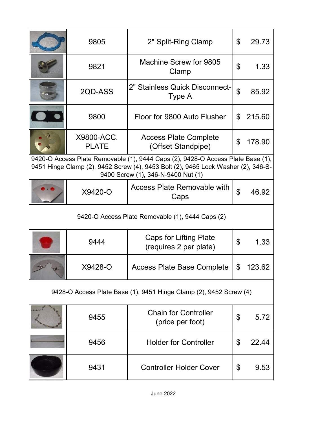|                                                                    | 9805                       | 2" Split-Ring Clamp                                                                                                                                                                                        | \$             | 29.73  |
|--------------------------------------------------------------------|----------------------------|------------------------------------------------------------------------------------------------------------------------------------------------------------------------------------------------------------|----------------|--------|
|                                                                    | 9821                       | Machine Screw for 9805<br>Clamp                                                                                                                                                                            | \$             | 1.33   |
|                                                                    | 2QD-ASS                    | 2" Stainless Quick Disconnect-<br>Type A                                                                                                                                                                   | $\mathfrak{P}$ | 85.92  |
|                                                                    | 9800                       | Floor for 9800 Auto Flusher                                                                                                                                                                                | \$             | 215.60 |
|                                                                    | X9800-ACC.<br><b>PLATE</b> | <b>Access Plate Complete</b><br>(Offset Standpipe)                                                                                                                                                         | \$             | 178.90 |
|                                                                    |                            | 9420-O Access Plate Removable (1), 9444 Caps (2), 9428-O Access Plate Base (1),<br>9451 Hinge Clamp (2), 9452 Screw (4), 9453 Bolt (2), 9465 Lock Washer (2), 346-S-<br>9400 Screw (1), 346-N-9400 Nut (1) |                |        |
|                                                                    | X9420-O                    | <b>Access Plate Removable with</b><br>Caps                                                                                                                                                                 | $\mathfrak{P}$ | 46.92  |
| 9420-O Access Plate Removable (1), 9444 Caps (2)                   |                            |                                                                                                                                                                                                            |                |        |
|                                                                    | 9444                       | Caps for Lifting Plate<br>(requires 2 per plate)                                                                                                                                                           | \$             | 1.33   |
|                                                                    | X9428-O                    | Access Plate Base Complete                                                                                                                                                                                 | \$             | 123.62 |
| 9428-O Access Plate Base (1), 9451 Hinge Clamp (2), 9452 Screw (4) |                            |                                                                                                                                                                                                            |                |        |
|                                                                    | 9455                       | <b>Chain for Controller</b><br>(price per foot)                                                                                                                                                            | \$             | 5.72   |
|                                                                    | 9456                       | <b>Holder for Controller</b>                                                                                                                                                                               | \$             | 22.44  |
|                                                                    | 9431                       | <b>Controller Holder Cover</b>                                                                                                                                                                             | \$             | 9.53   |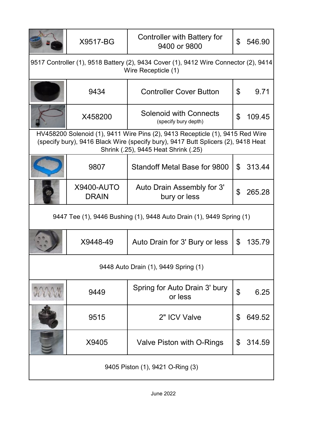|                                                                                                             | X9517-BG                          | <b>Controller with Battery for</b><br>9400 or 9800                                                                                                                                                         | \$             | 546.90 |
|-------------------------------------------------------------------------------------------------------------|-----------------------------------|------------------------------------------------------------------------------------------------------------------------------------------------------------------------------------------------------------|----------------|--------|
| 9517 Controller (1), 9518 Battery (2), 9434 Cover (1), 9412 Wire Connector (2), 9414<br>Wire Recepticle (1) |                                   |                                                                                                                                                                                                            |                |        |
|                                                                                                             | 9434                              | <b>Controller Cover Button</b>                                                                                                                                                                             | \$             | 9.71   |
|                                                                                                             | X458200                           | <b>Solenoid with Connects</b><br>(specify bury depth)                                                                                                                                                      | $\mathfrak{L}$ | 109.45 |
|                                                                                                             |                                   | HV458200 Solenoid (1), 9411 Wire Pins (2), 9413 Recepticle (1), 9415 Red Wire<br>(specify bury), 9416 Black Wire (specify bury), 9417 Butt Splicers (2), 9418 Heat<br>Shrink (.25), 9445 Heat Shrink (.25) |                |        |
|                                                                                                             | 9807                              | Standoff Metal Base for 9800                                                                                                                                                                               | \$             | 313.44 |
|                                                                                                             | <b>X9400-AUTO</b><br><b>DRAIN</b> | Auto Drain Assembly for 3'<br>bury or less                                                                                                                                                                 | $\mathfrak{L}$ | 265.28 |
| 9447 Tee (1), 9446 Bushing (1), 9448 Auto Drain (1), 9449 Spring (1)                                        |                                   |                                                                                                                                                                                                            |                |        |
|                                                                                                             | X9448-49                          |                                                                                                                                                                                                            |                |        |
|                                                                                                             |                                   | Auto Drain for 3' Bury or less                                                                                                                                                                             | \$             | 135.79 |
|                                                                                                             |                                   | 9448 Auto Drain (1), 9449 Spring (1)                                                                                                                                                                       |                |        |
|                                                                                                             | 9449                              | Spring for Auto Drain 3' bury<br>or less                                                                                                                                                                   | $\mathfrak{S}$ | 6.25   |
|                                                                                                             | 9515                              | 2" ICV Valve                                                                                                                                                                                               | \$             | 649.52 |
|                                                                                                             | X9405                             | Valve Piston with O-Rings                                                                                                                                                                                  | \$             | 314.59 |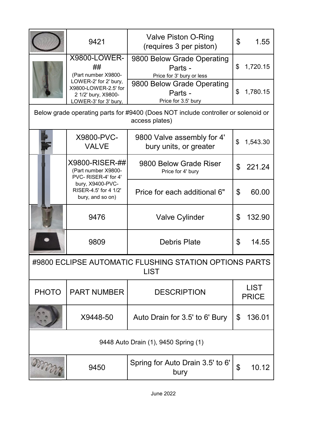|                                                                       | 9421                                                                                          | <b>Valve Piston O-Ring</b><br>(requires 3 per piston)                                               | $\mathfrak{L}$<br>1.55              |  |
|-----------------------------------------------------------------------|-----------------------------------------------------------------------------------------------|-----------------------------------------------------------------------------------------------------|-------------------------------------|--|
|                                                                       | <b>X9800-LOWER-</b><br>##<br>(Part number X9800-                                              | 9800 Below Grade Operating<br>Parts -<br>Price for 3' bury or less                                  | \$<br>1,720.15                      |  |
|                                                                       | LOWER-2' for 2' bury,<br>X9800-LOWER-2.5' for<br>2 1/2' bury, X9800-<br>LOWER-3' for 3' bury, | 9800 Below Grade Operating<br>Parts -<br>Price for 3.5' bury                                        | \$<br>1,780.15                      |  |
|                                                                       |                                                                                               | Below grade operating parts for #9400 (Does NOT include controller or solenoid or<br>access plates) |                                     |  |
|                                                                       | X9800-PVC-<br><b>VALVE</b>                                                                    | 9800 Valve assembly for 4'<br>bury units, or greater                                                | \$<br>1,543.30                      |  |
|                                                                       | X9800-RISER-##<br>(Part number X9800-<br>PVC-RISER-4' for 4'                                  | 9800 Below Grade Riser<br>Price for 4' bury                                                         | $\mathfrak{L}$<br>221.24            |  |
|                                                                       | bury, X9400-PVC-<br>RISER-4.5' for 4 1/2'<br>bury, and so on)                                 | Price for each additional 6"                                                                        | \$<br>60.00                         |  |
|                                                                       | 9476                                                                                          | <b>Valve Cylinder</b>                                                                               | $\mathfrak{L}$<br>132.90            |  |
|                                                                       | 9809                                                                                          | <b>Debris Plate</b>                                                                                 | \$<br>14.55                         |  |
| #9800 ECLIPSE AUTOMATIC FLUSHING STATION OPTIONS PARTS<br><b>LIST</b> |                                                                                               |                                                                                                     |                                     |  |
| <b>PHOTO</b>                                                          | <b>PART NUMBER</b>                                                                            | <b>DESCRIPTION</b>                                                                                  | <b>LIST</b><br><b>PRICE</b>         |  |
|                                                                       | X9448-50                                                                                      | Auto Drain for 3.5' to 6' Bury                                                                      | $\boldsymbol{\mathsf{S}}$<br>136.01 |  |
|                                                                       |                                                                                               | 9448 Auto Drain (1), 9450 Spring (1)                                                                |                                     |  |
| <b>ONNOON</b>                                                         | 9450                                                                                          | Spring for Auto Drain 3.5' to 6'<br>bury                                                            | $\mathfrak{S}$<br>10.12             |  |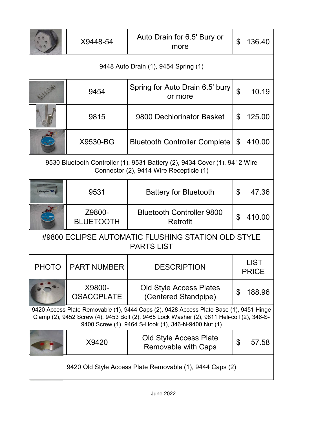|                                                                                                                                                                                                                                             | X9448-54                                                                                                              | Auto Drain for 6.5' Bury or<br>more                    | \$<br>136.40                |  |  |
|---------------------------------------------------------------------------------------------------------------------------------------------------------------------------------------------------------------------------------------------|-----------------------------------------------------------------------------------------------------------------------|--------------------------------------------------------|-----------------------------|--|--|
| 9448 Auto Drain (1), 9454 Spring (1)                                                                                                                                                                                                        |                                                                                                                       |                                                        |                             |  |  |
|                                                                                                                                                                                                                                             | 9454                                                                                                                  | Spring for Auto Drain 6.5' bury<br>or more             | $\mathfrak{S}$<br>10.19     |  |  |
|                                                                                                                                                                                                                                             | 9815                                                                                                                  | 9800 Dechlorinator Basket                              | \$<br>125.00                |  |  |
|                                                                                                                                                                                                                                             | X9530-BG                                                                                                              | <b>Bluetooth Controller Complete</b>                   | \$<br>410.00                |  |  |
|                                                                                                                                                                                                                                             | 9530 Bluetooth Controller (1), 9531 Battery (2), 9434 Cover (1), 9412 Wire<br>Connector (2), 9414 Wire Recepticle (1) |                                                        |                             |  |  |
|                                                                                                                                                                                                                                             | 9531                                                                                                                  | <b>Battery for Bluetooth</b>                           | $\mathfrak{L}$<br>47.36     |  |  |
|                                                                                                                                                                                                                                             | Z9800-<br><b>BLUETOOTH</b>                                                                                            | <b>Bluetooth Controller 9800</b><br>Retrofit           | \$<br>410.00                |  |  |
| #9800 ECLIPSE AUTOMATIC FLUSHING STATION OLD STYLE<br><b>PARTS LIST</b>                                                                                                                                                                     |                                                                                                                       |                                                        |                             |  |  |
| <b>PHOTO</b>                                                                                                                                                                                                                                | <b>PART NUMBER</b>                                                                                                    | <b>DESCRIPTION</b>                                     | <b>LIST</b><br><b>PRICE</b> |  |  |
|                                                                                                                                                                                                                                             | X9800-<br><b>OSACCPLATE</b>                                                                                           | <b>Old Style Access Plates</b><br>(Centered Standpipe) | \$<br>188.96                |  |  |
| 9420 Access Plate Removable (1), 9444 Caps (2), 9428 Access Plate Base (1), 9451 Hinge<br>Clamp (2), 9452 Screw (4), 9453 Bolt (2), 9465 Lock Washer (2), 9811 Heli-coil (2), 346-S-<br>9400 Screw (1), 9464 S-Hook (1), 346-N-9400 Nut (1) |                                                                                                                       |                                                        |                             |  |  |
|                                                                                                                                                                                                                                             | X9420                                                                                                                 | Old Style Access Plate<br>Removable with Caps          | \$<br>57.58                 |  |  |
| 9420 Old Style Access Plate Removable (1), 9444 Caps (2)                                                                                                                                                                                    |                                                                                                                       |                                                        |                             |  |  |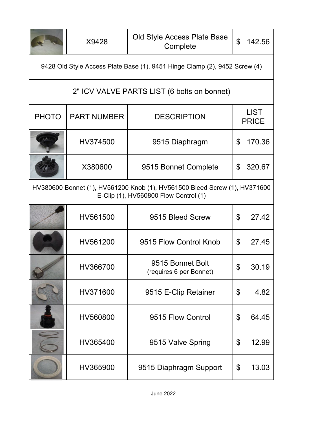|                                                                                                                     | X9428                                       | Old Style Access Plate Base<br>Complete                                    | \$  | 142.56                      |  |
|---------------------------------------------------------------------------------------------------------------------|---------------------------------------------|----------------------------------------------------------------------------|-----|-----------------------------|--|
|                                                                                                                     |                                             | 9428 Old Style Access Plate Base (1), 9451 Hinge Clamp (2), 9452 Screw (4) |     |                             |  |
|                                                                                                                     | 2" ICV VALVE PARTS LIST (6 bolts on bonnet) |                                                                            |     |                             |  |
| <b>PHOTO</b>                                                                                                        | <b>PART NUMBER</b>                          | <b>DESCRIPTION</b>                                                         |     | <b>LIST</b><br><b>PRICE</b> |  |
|                                                                                                                     | HV374500                                    | 9515 Diaphragm                                                             | \$  | 170.36                      |  |
|                                                                                                                     | X380600                                     | 9515 Bonnet Complete                                                       | \$  | 320.67                      |  |
| HV380600 Bonnet (1), HV561200 Knob (1), HV561500 Bleed Screw (1), HV371600<br>E-Clip (1), HV560800 Flow Control (1) |                                             |                                                                            |     |                             |  |
|                                                                                                                     | HV561500                                    | 9515 Bleed Screw                                                           | \$  | 27.42                       |  |
|                                                                                                                     | HV561200                                    | 9515 Flow Control Knob                                                     | \$  | 27.45                       |  |
|                                                                                                                     | HV366700                                    | 9515 Bonnet Bolt<br>(requires 6 per Bonnet)                                | \$. | 30.19                       |  |
|                                                                                                                     | HV371600                                    | 9515 E-Clip Retainer                                                       | \$  | 4.82                        |  |
|                                                                                                                     | HV560800                                    | 9515 Flow Control                                                          | \$  | 64.45                       |  |
|                                                                                                                     | HV365400                                    | 9515 Valve Spring                                                          | \$  | 12.99                       |  |
|                                                                                                                     | HV365900                                    | 9515 Diaphragm Support                                                     | \$  | 13.03                       |  |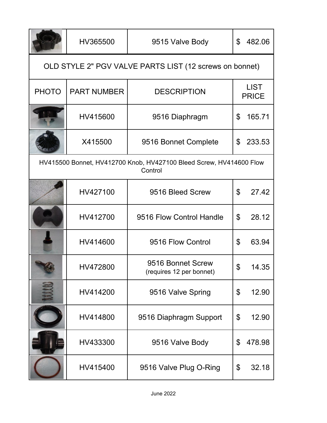|                                                                                | HV365500           | 9515 Valve Body                               | \$             | 482.06                      |  |
|--------------------------------------------------------------------------------|--------------------|-----------------------------------------------|----------------|-----------------------------|--|
| OLD STYLE 2" PGV VALVE PARTS LIST (12 screws on bonnet)                        |                    |                                               |                |                             |  |
| <b>PHOTO</b>                                                                   | <b>PART NUMBER</b> | <b>DESCRIPTION</b>                            |                | <b>LIST</b><br><b>PRICE</b> |  |
|                                                                                | HV415600           | 9516 Diaphragm                                | \$             | 165.71                      |  |
|                                                                                | X415500            | 9516 Bonnet Complete                          | \$             | 233.53                      |  |
| HV415500 Bonnet, HV412700 Knob, HV427100 Bleed Screw, HV414600 Flow<br>Control |                    |                                               |                |                             |  |
|                                                                                | HV427100           | 9516 Bleed Screw                              | $\mathfrak{L}$ | 27.42                       |  |
|                                                                                | HV412700           | 9516 Flow Control Handle                      | $\mathfrak{L}$ | 28.12                       |  |
|                                                                                | HV414600           | 9516 Flow Control                             | \$             | 63.94                       |  |
|                                                                                | HV472800           | 9516 Bonnet Screw<br>(requires 12 per bonnet) | \$             | 14.35                       |  |
|                                                                                | HV414200           | 9516 Valve Spring                             | \$             | 12.90                       |  |
|                                                                                | HV414800           | 9516 Diaphragm Support                        | \$             | 12.90                       |  |
|                                                                                | HV433300           | 9516 Valve Body                               | \$             | 478.98                      |  |
|                                                                                | HV415400           | 9516 Valve Plug O-Ring                        | \$             | 32.18                       |  |